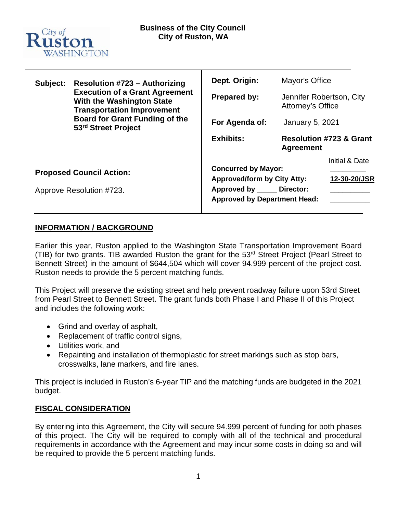

| Subject:                                                    | <b>Resolution #723 - Authorizing</b><br><b>Execution of a Grant Agreement</b><br>With the Washington State<br><b>Transportation Improvement</b><br><b>Board for Grant Funding of the</b><br>53rd Street Project | Dept. Origin:<br>Prepared by:<br>For Agenda of:<br><b>Exhibits:</b>                                                                     | Mayor's Office<br>Jennifer Robertson, City<br>Attorney's Office<br><b>January 5, 2021</b><br><b>Resolution #723 &amp; Grant</b> |                                |
|-------------------------------------------------------------|-----------------------------------------------------------------------------------------------------------------------------------------------------------------------------------------------------------------|-----------------------------------------------------------------------------------------------------------------------------------------|---------------------------------------------------------------------------------------------------------------------------------|--------------------------------|
| <b>Proposed Council Action:</b><br>Approve Resolution #723. |                                                                                                                                                                                                                 | <b>Concurred by Mayor:</b><br><b>Approved/form by City Atty:</b><br>Approved by ______ Director:<br><b>Approved by Department Head:</b> | <b>Agreement</b>                                                                                                                | Initial & Date<br>12-30-20/JSR |

# **INFORMATION / BACKGROUND**

Earlier this year, Ruston applied to the Washington State Transportation Improvement Board (TIB) for two grants. TIB awarded Ruston the grant for the 53rd Street Project (Pearl Street to Bennett Street) in the amount of \$644,504 which will cover 94.999 percent of the project cost. Ruston needs to provide the 5 percent matching funds.

This Project will preserve the existing street and help prevent roadway failure upon 53rd Street from Pearl Street to Bennett Street. The grant funds both Phase I and Phase II of this Project and includes the following work:

- Grind and overlay of asphalt,
- Replacement of traffic control signs,
- Utilities work, and
- Repainting and installation of thermoplastic for street markings such as stop bars, crosswalks, lane markers, and fire lanes.

This project is included in Ruston's 6-year TIP and the matching funds are budgeted in the 2021 budget.

# **FISCAL CONSIDERATION**

By entering into this Agreement, the City will secure 94.999 percent of funding for both phases of this project. The City will be required to comply with all of the technical and procedural requirements in accordance with the Agreement and may incur some costs in doing so and will be required to provide the 5 percent matching funds.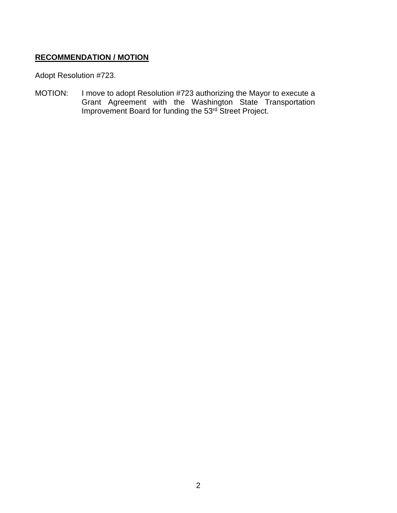# **RECOMMENDATION / MOTION**

Adopt Resolution #723.

MOTION: I move to adopt Resolution #723 authorizing the Mayor to execute a Grant Agreement with the Washington State Transportation Improvement Board for funding the 53<sup>rd</sup> Street Project.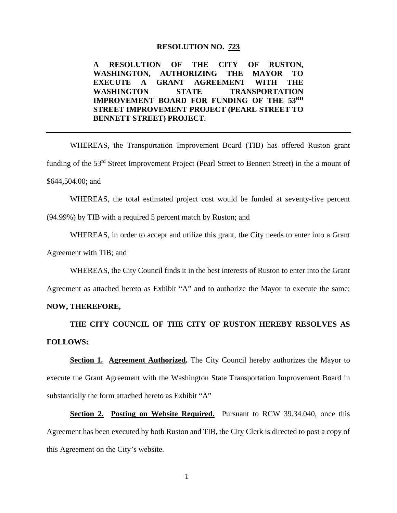#### **RESOLUTION NO. 723**

**A RESOLUTION OF THE CITY OF RUSTON, WASHINGTON, AUTHORIZING THE MAYOR TO EXECUTE A GRANT AGREEMENT WITH THE WASHINGTON STATE TRANSPORTATION IMPROVEMENT BOARD FOR FUNDING OF THE 53RD STREET IMPROVEMENT PROJECT (PEARL STREET TO BENNETT STREET) PROJECT.**

WHEREAS, the Transportation Improvement Board (TIB) has offered Ruston grant funding of the 53rd Street Improvement Project (Pearl Street to Bennett Street) in the a mount of \$644,504.00; and

WHEREAS, the total estimated project cost would be funded at seventy-five percent (94.99%) by TIB with a required 5 percent match by Ruston; and

WHEREAS, in order to accept and utilize this grant, the City needs to enter into a Grant

Agreement with TIB; and

WHEREAS, the City Council finds it in the best interests of Ruston to enter into the Grant

Agreement as attached hereto as Exhibit "A" and to authorize the Mayor to execute the same;

# **NOW, THEREFORE,**

**THE CITY COUNCIL OF THE CITY OF RUSTON HEREBY RESOLVES AS FOLLOWS:** 

**Section 1. Agreement Authorized.** The City Council hereby authorizes the Mayor to execute the Grant Agreement with the Washington State Transportation Improvement Board in substantially the form attached hereto as Exhibit "A"

**Section 2. Posting on Website Required.** Pursuant to RCW 39.34.040, once this Agreement has been executed by both Ruston and TIB, the City Clerk is directed to post a copy of this Agreement on the City's website.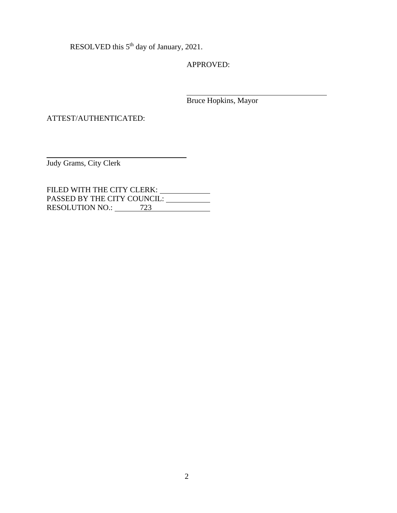RESOLVED this 5<sup>th</sup> day of January, 2021.

APPROVED:

Bruce Hopkins, Mayor

ATTEST/AUTHENTICATED:

Judy Grams, City Clerk

FILED WITH THE CITY CLERK: PASSED BY THE CITY COUNCIL: RESOLUTION NO.: 723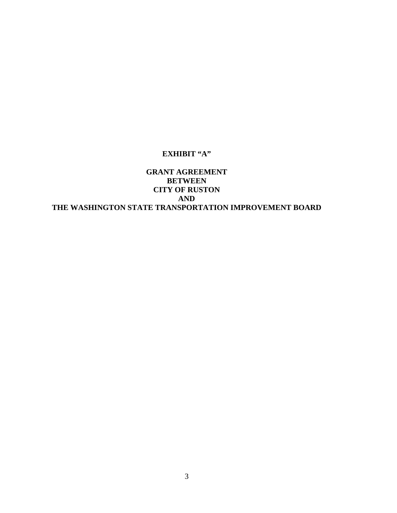# **EXHIBIT "A"**

# **GRANT AGREEMENT BETWEEN CITY OF RUSTON AND THE WASHINGTON STATE TRANSPORTATION IMPROVEMENT BOARD**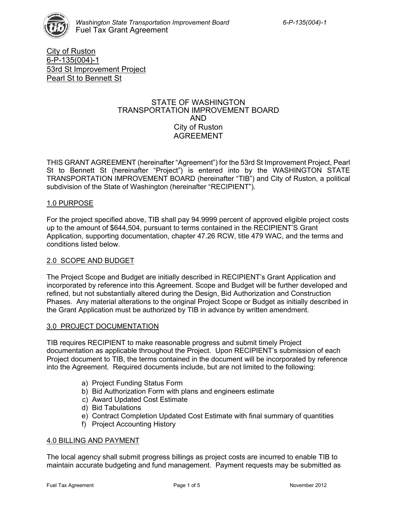

City of Ruston 6-P-135(004)-1 53rd St Improvement Project Pearl St to Bennett St

## STATE OF WASHINGTON TRANSPORTATION IMPROVEMENT BOARD AND City of Ruston AGREEMENT

THIS GRANT AGREEMENT (hereinafter "Agreement") for the 53rd St Improvement Project, Pearl St to Bennett St (hereinafter "Project") is entered into by the WASHINGTON STATE TRANSPORTATION IMPROVEMENT BOARD (hereinafter "TIB") and City of Ruston, a political subdivision of the State of Washington (hereinafter "RECIPIENT").

# 1.0 PURPOSE

For the project specified above, TIB shall pay 94.9999 percent of approved eligible project costs up to the amount of \$644,504, pursuant to terms contained in the RECIPIENT'S Grant Application, supporting documentation, chapter 47.26 RCW, title 479 WAC, and the terms and conditions listed below.

### 2.0 SCOPE AND BUDGET

The Project Scope and Budget are initially described in RECIPIENT's Grant Application and incorporated by reference into this Agreement. Scope and Budget will be further developed and refined, but not substantially altered during the Design, Bid Authorization and Construction Phases. Any material alterations to the original Project Scope or Budget as initially described in the Grant Application must be authorized by TIB in advance by written amendment.

### 3.0 PROJECT DOCUMENTATION

TIB requires RECIPIENT to make reasonable progress and submit timely Project documentation as applicable throughout the Project. Upon RECIPIENT's submission of each Project document to TIB, the terms contained in the document will be incorporated by reference into the Agreement. Required documents include, but are not limited to the following:

- a) Project Funding Status Form
- b) Bid Authorization Form with plans and engineers estimate
- c) Award Updated Cost Estimate
- d) Bid Tabulations
- e) Contract Completion Updated Cost Estimate with final summary of quantities
- f) Project Accounting History

### 4.0 BILLING AND PAYMENT

The local agency shall submit progress billings as project costs are incurred to enable TIB to maintain accurate budgeting and fund management. Payment requests may be submitted as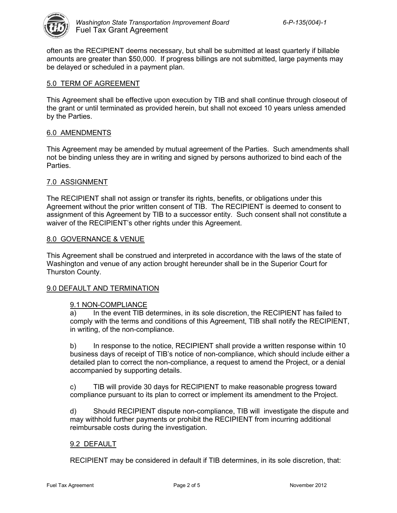

often as the RECIPIENT deems necessary, but shall be submitted at least quarterly if billable amounts are greater than \$50,000. If progress billings are not submitted, large payments may be delayed or scheduled in a payment plan.

# 5.0 TERM OF AGREEMENT

This Agreement shall be effective upon execution by TIB and shall continue through closeout of the grant or until terminated as provided herein, but shall not exceed 10 years unless amended by the Parties.

# 6.0 AMENDMENTS

This Agreement may be amended by mutual agreement of the Parties. Such amendments shall not be binding unless they are in writing and signed by persons authorized to bind each of the Parties.

# 7.0 ASSIGNMENT

The RECIPIENT shall not assign or transfer its rights, benefits, or obligations under this Agreement without the prior written consent of TIB. The RECIPIENT is deemed to consent to assignment of this Agreement by TIB to a successor entity. Such consent shall not constitute a waiver of the RECIPIENT's other rights under this Agreement.

## 8.0 GOVERNANCE & VENUE

This Agreement shall be construed and interpreted in accordance with the laws of the state of Washington and venue of any action brought hereunder shall be in the Superior Court for Thurston County.

# 9.0 DEFAULT AND TERMINATION

### 9.1 NON-COMPLIANCE

a) In the event TIB determines, in its sole discretion, the RECIPIENT has failed to comply with the terms and conditions of this Agreement, TIB shall notify the RECIPIENT, in writing, of the non-compliance.

b) In response to the notice, RECIPIENT shall provide a written response within 10 business days of receipt of TIB's notice of non-compliance, which should include either a detailed plan to correct the non-compliance, a request to amend the Project, or a denial accompanied by supporting details.

c) TIB will provide 30 days for RECIPIENT to make reasonable progress toward compliance pursuant to its plan to correct or implement its amendment to the Project.

d) Should RECIPIENT dispute non-compliance, TIB will investigate the dispute and may withhold further payments or prohibit the RECIPIENT from incurring additional reimbursable costs during the investigation.

# 9.2 DEFAULT

RECIPIENT may be considered in default if TIB determines, in its sole discretion, that: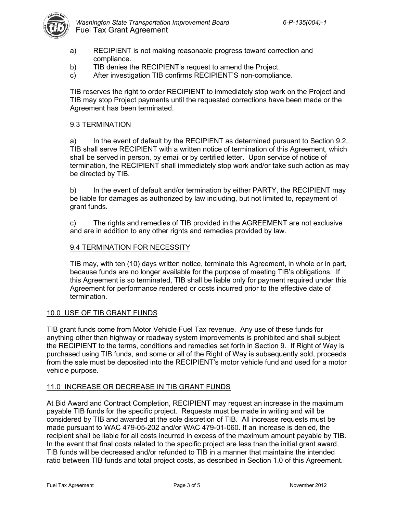

- a) RECIPIENT is not making reasonable progress toward correction and compliance.
- b) TIB denies the RECIPIENT's request to amend the Project.
- c) After investigation TIB confirms RECIPIENT'S non-compliance.

TIB reserves the right to order RECIPIENT to immediately stop work on the Project and TIB may stop Project payments until the requested corrections have been made or the Agreement has been terminated.

## 9.3 TERMINATION

a) In the event of default by the RECIPIENT as determined pursuant to Section 9.2, TIB shall serve RECIPIENT with a written notice of termination of this Agreement, which shall be served in person, by email or by certified letter. Upon service of notice of termination, the RECIPIENT shall immediately stop work and/or take such action as may be directed by TIB.

b) In the event of default and/or termination by either PARTY, the RECIPIENT may be liable for damages as authorized by law including, but not limited to, repayment of grant funds.

c) The rights and remedies of TIB provided in the AGREEMENT are not exclusive and are in addition to any other rights and remedies provided by law.

## 9.4 TERMINATION FOR NECESSITY

TIB may, with ten (10) days written notice, terminate this Agreement, in whole or in part, because funds are no longer available for the purpose of meeting TIB's obligations. If this Agreement is so terminated, TIB shall be liable only for payment required under this Agreement for performance rendered or costs incurred prior to the effective date of termination.

### 10.0 USE OF TIB GRANT FUNDS

TIB grant funds come from Motor Vehicle Fuel Tax revenue. Any use of these funds for anything other than highway or roadway system improvements is prohibited and shall subject the RECIPIENT to the terms, conditions and remedies set forth in Section 9. If Right of Way is purchased using TIB funds, and some or all of the Right of Way is subsequently sold, proceeds from the sale must be deposited into the RECIPIENT's motor vehicle fund and used for a motor vehicle purpose.

### 11.0 INCREASE OR DECREASE IN TIB GRANT FUNDS

At Bid Award and Contract Completion, RECIPIENT may request an increase in the maximum payable TIB funds for the specific project. Requests must be made in writing and will be considered by TIB and awarded at the sole discretion of TIB. All increase requests must be made pursuant to WAC 479-05-202 and/or WAC 479-01-060. If an increase is denied, the recipient shall be liable for all costs incurred in excess of the maximum amount payable by TIB. In the event that final costs related to the specific project are less than the initial grant award, TIB funds will be decreased and/or refunded to TIB in a manner that maintains the intended ratio between TIB funds and total project costs, as described in Section 1.0 of this Agreement.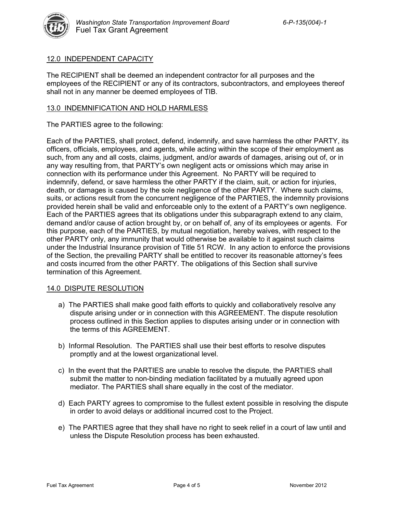

# 12.0 INDEPENDENT CAPACITY

The RECIPIENT shall be deemed an independent contractor for all purposes and the employees of the RECIPIENT or any of its contractors, subcontractors, and employees thereof shall not in any manner be deemed employees of TIB.

## 13.0 INDEMNIFICATION AND HOLD HARMLESS

The PARTIES agree to the following:

Each of the PARTIES, shall protect, defend, indemnify, and save harmless the other PARTY, its officers, officials, employees, and agents, while acting within the scope of their employment as such, from any and all costs, claims, judgment, and/or awards of damages, arising out of, or in any way resulting from, that PARTY's own negligent acts or omissions which may arise in connection with its performance under this Agreement. No PARTY will be required to indemnify, defend, or save harmless the other PARTY if the claim, suit, or action for injuries, death, or damages is caused by the sole negligence of the other PARTY. Where such claims, suits, or actions result from the concurrent negligence of the PARTIES, the indemnity provisions provided herein shall be valid and enforceable only to the extent of a PARTY's own negligence. Each of the PARTIES agrees that its obligations under this subparagraph extend to any claim, demand and/or cause of action brought by, or on behalf of, any of its employees or agents. For this purpose, each of the PARTIES, by mutual negotiation, hereby waives, with respect to the other PARTY only, any immunity that would otherwise be available to it against such claims under the Industrial Insurance provision of Title 51 RCW. In any action to enforce the provisions of the Section, the prevailing PARTY shall be entitled to recover its reasonable attorney's fees and costs incurred from the other PARTY. The obligations of this Section shall survive termination of this Agreement.

# 14.0 DISPUTE RESOLUTION

- a) The PARTIES shall make good faith efforts to quickly and collaboratively resolve any dispute arising under or in connection with this AGREEMENT. The dispute resolution process outlined in this Section applies to disputes arising under or in connection with the terms of this AGREEMENT.
- b) Informal Resolution. The PARTIES shall use their best efforts to resolve disputes promptly and at the lowest organizational level.
- c) In the event that the PARTIES are unable to resolve the dispute, the PARTIES shall submit the matter to non-binding mediation facilitated by a mutually agreed upon mediator. The PARTIES shall share equally in the cost of the mediator.
- d) Each PARTY agrees to compromise to the fullest extent possible in resolving the dispute in order to avoid delays or additional incurred cost to the Project.
- e) The PARTIES agree that they shall have no right to seek relief in a court of law until and unless the Dispute Resolution process has been exhausted.